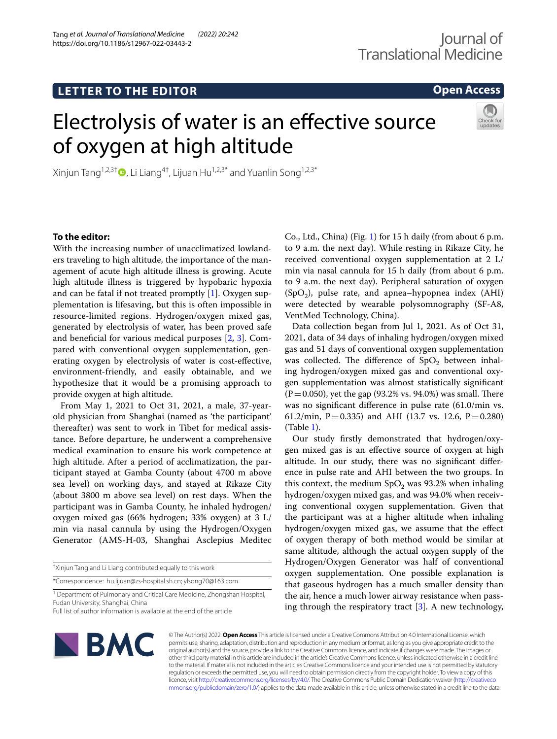# **LETTER TO THE EDITOR**

**Open Access**

# Electrolysis of water is an efective source of oxygen at high altitude



Xinjun Tang<sup>1,2,3[†](http://orcid.org/0000-0002-1547-8723)</sup> $\bullet$ , Li Liang<sup>4†</sup>, Lijuan Hu<sup>1,2,3\*</sup> and Yuanlin Song<sup>1,2,3\*</sup>

# **To the editor:**

With the increasing number of unacclimatized lowlanders traveling to high altitude, the importance of the management of acute high altitude illness is growing. Acute high altitude illness is triggered by hypobaric hypoxia and can be fatal if not treated promptly  $[1]$  $[1]$ . Oxygen supplementation is lifesaving, but this is often impossible in resource-limited regions. Hydrogen/oxygen mixed gas, generated by electrolysis of water, has been proved safe and benefcial for various medical purposes [\[2](#page-2-1), [3](#page-2-2)]. Compared with conventional oxygen supplementation, generating oxygen by electrolysis of water is cost-efective, environment-friendly, and easily obtainable, and we hypothesize that it would be a promising approach to provide oxygen at high altitude.

From May 1, 2021 to Oct 31, 2021, a male, 37-yearold physician from Shanghai (named as 'the participant' thereafter) was sent to work in Tibet for medical assistance. Before departure, he underwent a comprehensive medical examination to ensure his work competence at high altitude. After a period of acclimatization, the participant stayed at Gamba County (about 4700 m above sea level) on working days, and stayed at Rikaze City (about 3800 m above sea level) on rest days. When the participant was in Gamba County, he inhaled hydrogen/ oxygen mixed gas (66% hydrogen; 33% oxygen) at 3 L/ min via nasal cannula by using the Hydrogen/Oxygen Generator (AMS-H-03, Shanghai Asclepius Meditec

\*Correspondence: hu.lijuan@zs-hospital.sh.cn; ylsong70@163.com

Co., Ltd., China) (Fig. [1\)](#page-1-0) for 15 h daily (from about 6 p.m. to 9 a.m. the next day). While resting in Rikaze City, he received conventional oxygen supplementation at 2 L/ min via nasal cannula for 15 h daily (from about 6 p.m. to 9 a.m. the next day). Peripheral saturation of oxygen  $(SpO<sub>2</sub>)$ , pulse rate, and apnea–hypopnea index  $(AHI)$ were detected by wearable polysomnography (SF-A8, VentMed Technology, China).

Data collection began from Jul 1, 2021. As of Oct 31, 2021, data of 34 days of inhaling hydrogen/oxygen mixed gas and 51 days of conventional oxygen supplementation was collected. The difference of  $SpO<sub>2</sub>$  between inhaling hydrogen/oxygen mixed gas and conventional oxygen supplementation was almost statistically signifcant  $(P=0.050)$ , yet the gap (93.2% vs. 94.0%) was small. There was no signifcant diference in pulse rate (61.0/min vs. 61.2/min, P = 0.335) and AHI (13.7 vs. 12.6, P = 0.280) (Table [1\)](#page-1-1).

Our study frstly demonstrated that hydrogen/oxygen mixed gas is an efective source of oxygen at high altitude. In our study, there was no signifcant diference in pulse rate and AHI between the two groups. In this context, the medium  $SpO<sub>2</sub>$  was 93.2% when inhaling hydrogen/oxygen mixed gas, and was 94.0% when receiving conventional oxygen supplementation. Given that the participant was at a higher altitude when inhaling hydrogen/oxygen mixed gas, we assume that the efect of oxygen therapy of both method would be similar at same altitude, although the actual oxygen supply of the Hydrogen/Oxygen Generator was half of conventional oxygen supplementation. One possible explanation is that gaseous hydrogen has a much smaller density than the air, hence a much lower airway resistance when passing through the respiratory tract [\[3](#page-2-2)]. A new technology,



© The Author(s) 2022. **Open Access** This article is licensed under a Creative Commons Attribution 4.0 International License, which permits use, sharing, adaptation, distribution and reproduction in any medium or format, as long as you give appropriate credit to the original author(s) and the source, provide a link to the Creative Commons licence, and indicate if changes were made. The images or other third party material in this article are included in the article's Creative Commons licence, unless indicated otherwise in a credit line to the material. If material is not included in the article's Creative Commons licence and your intended use is not permitted by statutory regulation or exceeds the permitted use, you will need to obtain permission directly from the copyright holder. To view a copy of this licence, visit [http://creativecommons.org/licenses/by/4.0/.](http://creativecommons.org/licenses/by/4.0/) The Creative Commons Public Domain Dedication waiver ([http://creativeco](http://creativecommons.org/publicdomain/zero/1.0/) [mmons.org/publicdomain/zero/1.0/](http://creativecommons.org/publicdomain/zero/1.0/)) applies to the data made available in this article, unless otherwise stated in a credit line to the data.

<sup>†</sup> Xinjun Tang and Li Liang contributed equally to this work

<sup>&</sup>lt;sup>1</sup> Department of Pulmonary and Critical Care Medicine, Zhongshan Hospital, Fudan University, Shanghai, China

Full list of author information is available at the end of the article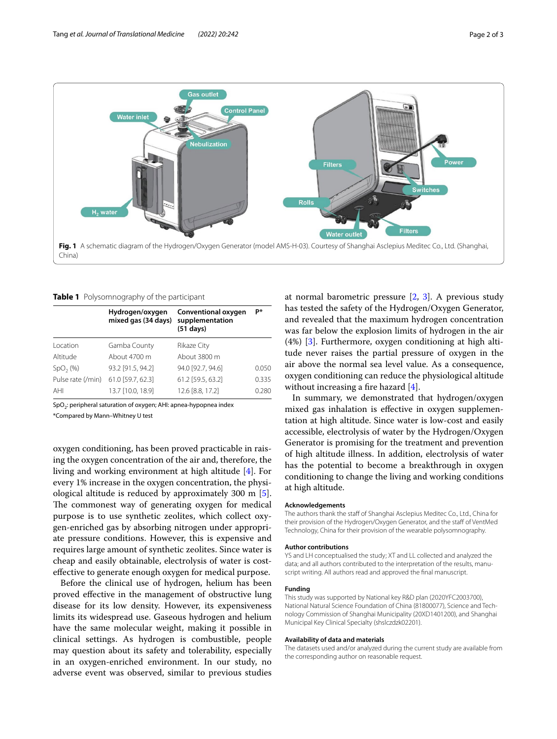

<span id="page-1-1"></span><span id="page-1-0"></span>

|  | Table 1 Polysomnography of the participant |  |  |
|--|--------------------------------------------|--|--|
|--|--------------------------------------------|--|--|

|                   | Hydrogen/oxygen<br>mixed gas (34 days) | Conventional oxygen<br>supplementation<br>$(51$ days) | p*    |
|-------------------|----------------------------------------|-------------------------------------------------------|-------|
| Location          | Gamba County                           | Rikaze City                                           |       |
| Altitude          | About 4700 m                           | About 3800 m                                          |       |
| $SpO2(\%)$        | 93.2 [91.5, 94.2]                      | 94.0 [92.7, 94.6]                                     | 0.050 |
| Pulse rate (/min) | 61.0 [59.7, 62.3]                      | 61.2 [59.5, 63.2]                                     | 0.335 |
| AHI               | 13.7 [10.0, 18.9]                      | 12.6 [8.8, 17.2]                                      | 0.280 |
|                   |                                        |                                                       |       |

SpO<sub>2</sub>: peripheral saturation of oxygen; AHI: apnea-hypopnea index

\*Compared by Mann–Whitney U test

oxygen conditioning, has been proved practicable in raising the oxygen concentration of the air and, therefore, the living and working environment at high altitude [\[4](#page-2-3)]. For every 1% increase in the oxygen concentration, the physiological altitude is reduced by approximately 300 m [\[5](#page-2-4)]. The commonest way of generating oxygen for medical purpose is to use synthetic zeolites, which collect oxygen-enriched gas by absorbing nitrogen under appropriate pressure conditions. However, this is expensive and requires large amount of synthetic zeolites. Since water is cheap and easily obtainable, electrolysis of water is costefective to generate enough oxygen for medical purpose.

Before the clinical use of hydrogen, helium has been proved efective in the management of obstructive lung disease for its low density. However, its expensiveness limits its widespread use. Gaseous hydrogen and helium have the same molecular weight, making it possible in clinical settings. As hydrogen is combustible, people may question about its safety and tolerability, especially in an oxygen-enriched environment. In our study, no adverse event was observed, similar to previous studies

at normal barometric pressure  $[2, 3]$  $[2, 3]$  $[2, 3]$  $[2, 3]$ . A previous study has tested the safety of the Hydrogen/Oxygen Generator, and revealed that the maximum hydrogen concentration was far below the explosion limits of hydrogen in the air (4%) [[3](#page-2-2)]. Furthermore, oxygen conditioning at high altitude never raises the partial pressure of oxygen in the air above the normal sea level value. As a consequence, oxygen conditioning can reduce the physiological altitude without increasing a fire hazard  $[4]$  $[4]$ .

In summary, we demonstrated that hydrogen/oxygen mixed gas inhalation is efective in oxygen supplementation at high altitude. Since water is low-cost and easily accessible, electrolysis of water by the Hydrogen/Oxygen Generator is promising for the treatment and prevention of high altitude illness. In addition, electrolysis of water has the potential to become a breakthrough in oxygen conditioning to change the living and working conditions at high altitude.

#### **Acknowledgements**

The authors thank the staff of Shanghai Asclepius Meditec Co., Ltd., China for their provision of the Hydrogen/Oxygen Generator, and the staff of VentMed Technology, China for their provision of the wearable polysomnography.

#### **Author contributions**

YS and LH conceptualised the study; XT and LL collected and analyzed the data; and all authors contributed to the interpretation of the results, manuscript writing. All authors read and approved the fnal manuscript.

#### **Funding**

This study was supported by National key R&D plan (2020YFC2003700), National Natural Science Foundation of China (81800077), Science and Technology Commission of Shanghai Municipality (20XD1401200), and Shanghai Municipal Key Clinical Specialty (shslczdzk02201).

#### **Availability of data and materials**

The datasets used and/or analyzed during the current study are available from the corresponding author on reasonable request.